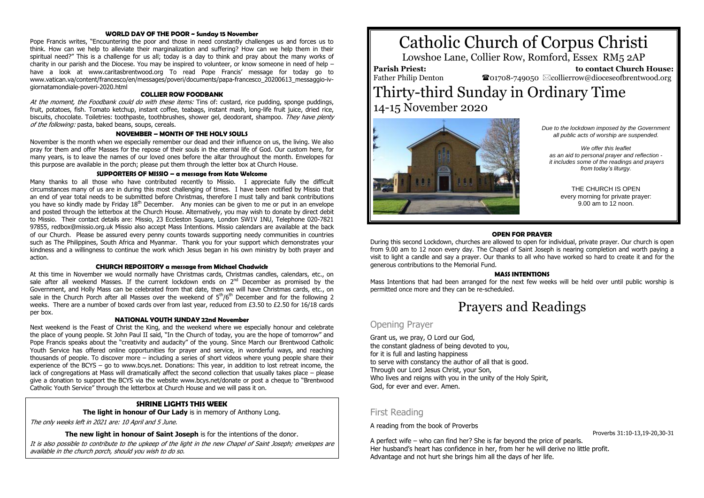#### **WORLD DAY OF THE POOR ~ Sunday 15 November**

Pope Francis writes, "Encountering the poor and those in need constantly challenges us and forces us to think. How can we help to alleviate their marginalization and suffering? How can we help them in their spiritual need?" This is a challenge for us all; today is a day to think and pray about the many works of charity in our parish and the Diocese. You may be inspired to volunteer, or know someone in need of help – have a look at www.caritasbrentwood.org To read Pope Francis' message for today go to www.vatican.va/content/francesco/en/messages/poveri/documents/papa-francesco\_20200613\_messaggio-ivgiornatamondiale-poveri-2020.html

### **COLLIER ROW FOODBANK**

At the moment, the Foodbank could do with these items: Tins of: custard, rice pudding, sponge puddings, fruit, potatoes, fish. Tomato ketchup, instant coffee, teabags, instant mash, long-life fruit juice, dried rice, biscuits, chocolate. Toiletries: toothpaste, toothbrushes, shower gel, deodorant, shampoo. They have plenty of the following: pasta, baked beans, soups, cereals.

#### **NOVEMBER – MONTH OF THE HOLY SOULS**

November is the month when we especially remember our dead and their influence on us, the living. We also pray for them and offer Masses for the repose of their souls in the eternal life of God. Our custom here, for many years, is to leave the names of our loved ones before the altar throughout the month. Envelopes for this purpose are available in the porch; please put them through the letter box at Church House.

### **SUPPORTERS OF MISSIO – a message from Kate Welcome**

Many thanks to all those who have contributed recently to Missio. I appreciate fully the difficult circumstances many of us are in during this most challenging of times. I have been notified by Missio that an end of year total needs to be submitted before Christmas, therefore I must tally and bank contributions you have so kindly made by Friday 18th December. Any monies can be given to me or put in an envelope and posted through the letterbox at the Church House. Alternatively, you may wish to donate by direct debit to Missio. Their contact details are: Missio, 23 Eccleston Square, London SW1V 1NU, Telephone 020-7821 97855, redbox@missio.org.uk Missio also accept Mass Intentions. Missio calendars are available at the back of our Church. Please be assured every penny counts towards supporting needy communities in countries such as The Philippines, South Africa and Myanmar. Thank you for your support which demonstrates your kindness and a willingness to continue the work which Jesus began in his own ministry by both prayer and action.

#### **CHURCH REPOSITORY a message from Michael Chadwick**

At this time in November we would normally have Christmas cards, Christmas candles, calendars, etc., on sale after all weekend Masses. If the current lockdown ends on  $2<sup>nd</sup>$  December as promised by the Government, and Holly Mass can be celebrated from that date, then we will have Christmas cards, etc., on sale in the Church Porch after all Masses over the weekend of  $5<sup>th</sup>/6<sup>th</sup>$  December and for the following 2 weeks. There are a number of boxed cards over from last year, reduced from £3.50 to £2.50 for 16/18 cards per box.

### **NATIONAL YOUTH SUNDAY 22nd November**

Next weekend is the Feast of Christ the King, and the weekend where we especially honour and celebrate the place of young people. St John Paul II said, "In the Church of today, you are the hope of tomorrow" and Pope Francis speaks about the "creativity and audacity" of the young. Since March our Brentwood Catholic Youth Service has offered online opportunities for prayer and service, in wonderful ways, and reaching thousands of people. To discover more – including a series of short videos where young people share their experience of the BCYS – go to www.bcys.net. Donations: This year, in addition to lost retreat income, the lack of congregations at Mass will dramatically affect the second collection that usually takes place – please give a donation to support the BCYS via the website www.bcys.net/donate or post a cheque to "Brentwood Catholic Youth Service" through the letterbox at Church House and we will pass it on.

## **SHRINE LIGHTS THIS WEEK**

**The light in honour of Our Lady** is in memory of Anthony Long.

The only weeks left in 2021 are: 10 April and 5 June.

**The new light in honour of Saint Joseph** is for the intentions of the donor.

It is also possible to contribute to the upkeep of the light in the new Chapel of Saint Joseph; envelopes are available in the church porch, should you wish to do so.

# Catholic Church of Corpus Christi

Lowshoe Lane, Collier Row, Romford, Essex RM5 2AP

### **Parish Priest:** Father Philip Denton

 **to contact Church House:**  $\mathbf{\Omega}_{01708\text{-}749050}$   $\boxtimes$  collierrow@dioceseofbrentwood.org

# Thirty-third Sunday in Ordinary Time 14-15 November 2020



*Due to the lockdown imposed by the Government all public acts of worship are suspended.*

*We offer this leaflet as an aid to personal prayer and reflection it includes some of the readings and prayers from today's liturgy.*

THE CHURCH IS OPEN every morning for private prayer: 9.00 am to 12 noon.

#### **OPEN FOR PRAYER**

During this second Lockdown, churches are allowed to open for individual, private prayer. Our church is open from 9.00 am to 12 noon every day. The Chapel of Saint Joseph is nearing completion and worth paying a visit to light a candle and say a prayer. Our thanks to all who have worked so hard to create it and for the generous contributions to the Memorial Fund.

#### **MASS INTENTIONS**

Mass Intentions that had been arranged for the next few weeks will be held over until public worship is permitted once more and they can be re-scheduled.

# Prayers and Readings

## Opening Prayer

Grant us, we pray, O Lord our God, the constant gladness of being devoted to you, for it is full and lasting happiness to serve with constancy the author of all that is good. Through our Lord Jesus Christ, your Son, Who lives and reigns with you in the unity of the Holy Spirit, God, for ever and ever. Amen.

## First Reading

A reading from the book of Proverbs

A perfect wife – who can find her? She is far beyond the price of pearls. Her husband's heart has confidence in her, from her he will derive no little profit. Advantage and not hurt she brings him all the days of her life.

Proverbs 31:10-13,19-20,30-31